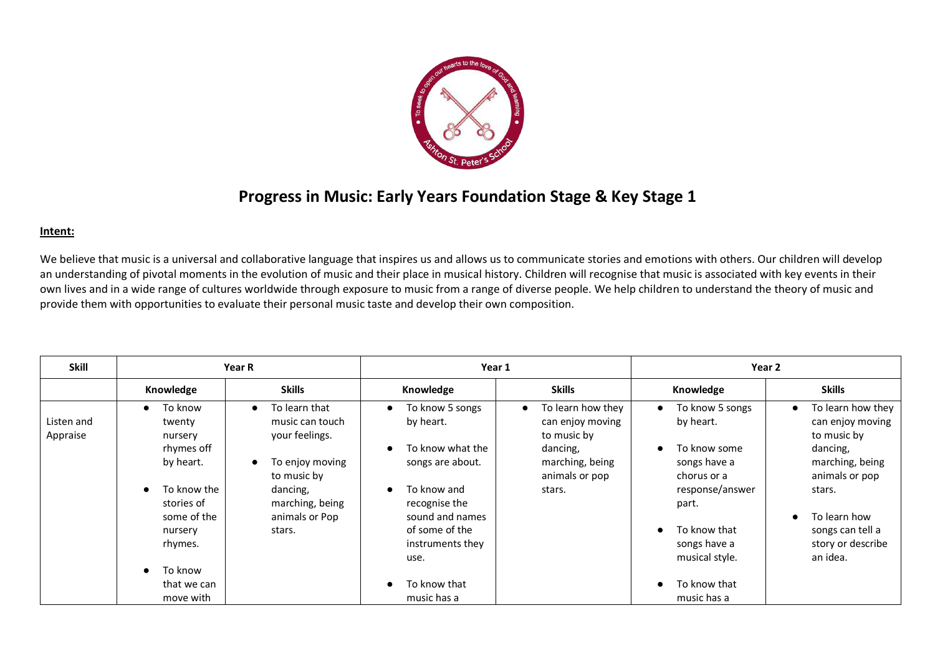

## **Progress in Music: Early Years Foundation Stage & Key Stage 1**

## **Intent:**

We believe that music is a universal and collaborative language that inspires us and allows us to communicate stories and emotions with others. Our children will develop an understanding of pivotal moments in the evolution of music and their place in musical history. Children will recognise that music is associated with key events in their own lives and in a wide range of cultures worldwide through exposure to music from a range of diverse people. We help children to understand the theory of music and provide them with opportunities to evaluate their personal music taste and develop their own composition.

| Knowledge                                                                                                      | <b>Skills</b>                                                                                                       |                                                                                                                   |                                                                                                                 |                                                                                                                                   |                                                                                                                              |
|----------------------------------------------------------------------------------------------------------------|---------------------------------------------------------------------------------------------------------------------|-------------------------------------------------------------------------------------------------------------------|-----------------------------------------------------------------------------------------------------------------|-----------------------------------------------------------------------------------------------------------------------------------|------------------------------------------------------------------------------------------------------------------------------|
|                                                                                                                |                                                                                                                     | Knowledge                                                                                                         | <b>Skills</b>                                                                                                   | Knowledge                                                                                                                         | <b>Skills</b>                                                                                                                |
| To know<br>$\bullet$<br>twenty<br>nursery<br>rhymes off<br>by heart.<br>$\bullet$<br>To know the<br>stories of | To learn that<br>music can touch<br>your feelings.<br>To enjoy moving<br>to music by<br>dancing,<br>marching, being | To know 5 songs<br>$\bullet$<br>by heart.<br>To know what the<br>songs are about.<br>To know and<br>recognise the | To learn how they<br>can enjoy moving<br>to music by<br>dancing,<br>marching, being<br>animals or pop<br>stars. | To know 5 songs<br>$\bullet$<br>by heart.<br>To know some<br>$\bullet$<br>songs have a<br>chorus or a<br>response/answer<br>part. | To learn how they<br>$\bullet$<br>can enjoy moving<br>to music by<br>dancing,<br>marching, being<br>animals or pop<br>stars. |
| some of the<br>nursery<br>rhymes.<br>To know<br>that we can                                                    | stars.                                                                                                              | of some of the<br>instruments they<br>use.<br>To know that                                                        |                                                                                                                 | To know that<br>$\bullet$<br>songs have a<br>musical style.<br>To know that<br>$\bullet$                                          | To learn how<br>songs can tell a<br>story or describe<br>an idea.                                                            |
|                                                                                                                | move with                                                                                                           | animals or Pop                                                                                                    | sound and names<br>music has a                                                                                  |                                                                                                                                   | music has a                                                                                                                  |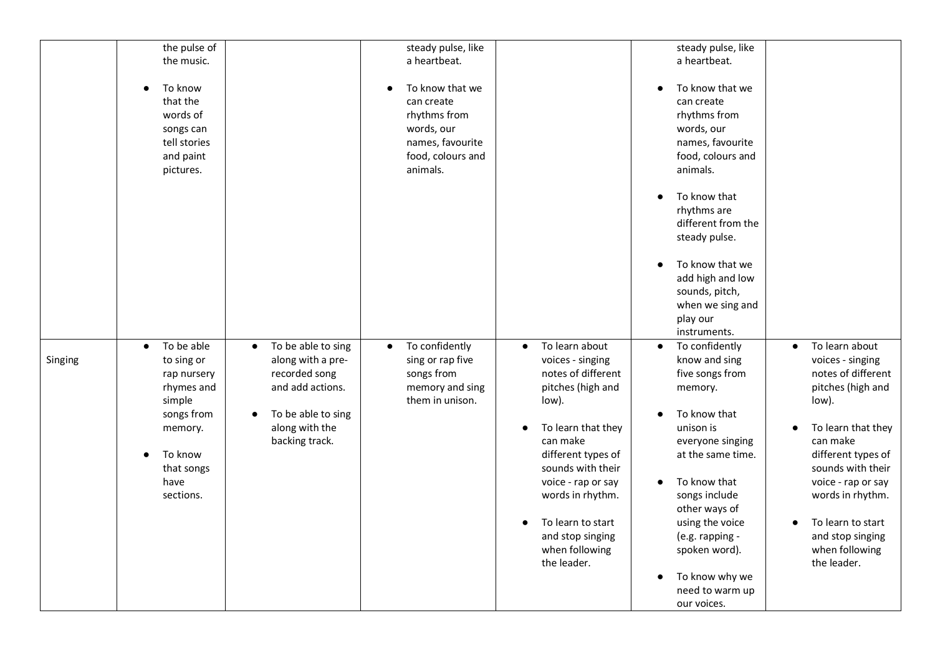|         | the pulse of                                                                                                                                                                                                                                                                                                                         | steady pulse, like                                                                                                                                                                                                                                                                                                                | steady pulse, like                                                                                                                                                                                                                                                                                                                                                                                                               |
|---------|--------------------------------------------------------------------------------------------------------------------------------------------------------------------------------------------------------------------------------------------------------------------------------------------------------------------------------------|-----------------------------------------------------------------------------------------------------------------------------------------------------------------------------------------------------------------------------------------------------------------------------------------------------------------------------------|----------------------------------------------------------------------------------------------------------------------------------------------------------------------------------------------------------------------------------------------------------------------------------------------------------------------------------------------------------------------------------------------------------------------------------|
|         | the music.                                                                                                                                                                                                                                                                                                                           | a heartbeat.                                                                                                                                                                                                                                                                                                                      | a heartbeat.                                                                                                                                                                                                                                                                                                                                                                                                                     |
|         | To know<br>$\bullet$<br>that the<br>words of<br>songs can<br>tell stories<br>and paint<br>pictures.                                                                                                                                                                                                                                  | To know that we<br>can create<br>rhythms from<br>words, our<br>names, favourite<br>food, colours and<br>animals.                                                                                                                                                                                                                  | To know that we<br>can create<br>rhythms from<br>words, our<br>names, favourite<br>food, colours and<br>animals.                                                                                                                                                                                                                                                                                                                 |
|         |                                                                                                                                                                                                                                                                                                                                      |                                                                                                                                                                                                                                                                                                                                   | To know that<br>rhythms are<br>different from the<br>steady pulse.<br>To know that we                                                                                                                                                                                                                                                                                                                                            |
|         |                                                                                                                                                                                                                                                                                                                                      |                                                                                                                                                                                                                                                                                                                                   | add high and low<br>sounds, pitch,<br>when we sing and<br>play our<br>instruments.                                                                                                                                                                                                                                                                                                                                               |
| Singing | To be able<br>To be able to sing<br>$\bullet$<br>$\bullet$<br>along with a pre-<br>to sing or<br>recorded song<br>rap nursery<br>rhymes and<br>and add actions.<br>simple<br>songs from<br>To be able to sing<br>$\bullet$<br>along with the<br>memory.<br>backing track.<br>To know<br>$\bullet$<br>that songs<br>have<br>sections. | To confidently<br>To learn about<br>$\bullet$<br>$\bullet$<br>sing or rap five<br>voices - singing<br>songs from<br>notes of different<br>memory and sing<br>pitches (high and<br>them in unison.<br>low).<br>To learn that they<br>can make<br>different types of<br>sounds with their<br>voice - rap or say<br>words in rhythm. | To confidently<br>To learn about<br>$\bullet$<br>$\bullet$<br>know and sing<br>voices - singing<br>notes of different<br>five songs from<br>pitches (high and<br>memory.<br>low).<br>To know that<br>unison is<br>To learn that they<br>can make<br>everyone singing<br>different types of<br>at the same time.<br>sounds with their<br>To know that<br>voice - rap or say<br>songs include<br>words in rhythm.<br>other ways of |
|         |                                                                                                                                                                                                                                                                                                                                      | To learn to start<br>and stop singing<br>when following<br>the leader.                                                                                                                                                                                                                                                            | using the voice<br>To learn to start<br>(e.g. rapping -<br>and stop singing<br>when following<br>spoken word).<br>the leader.<br>To know why we<br>need to warm up<br>our voices.                                                                                                                                                                                                                                                |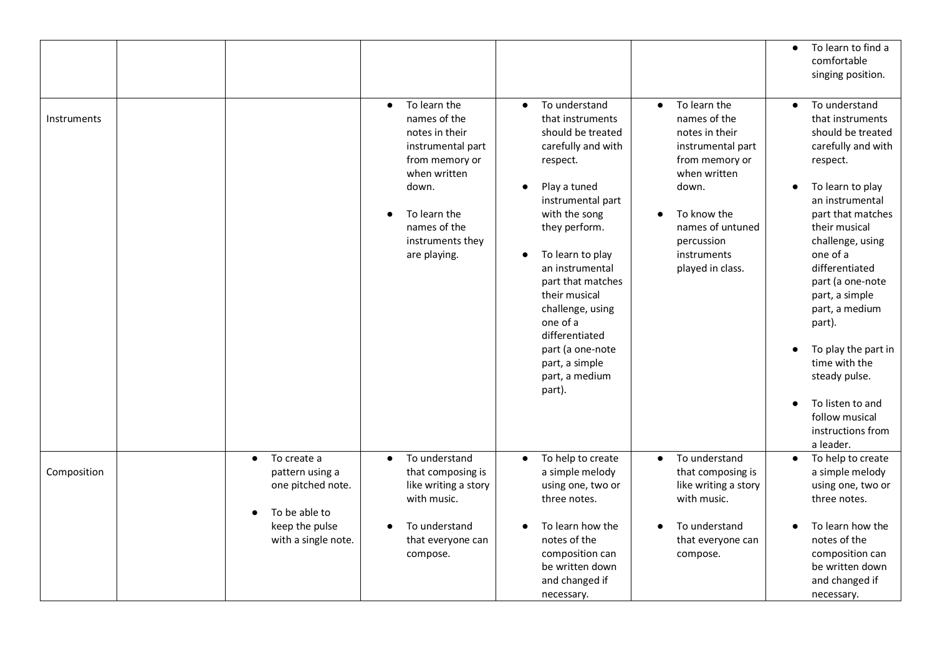|             |                                                                                                |                                                                                                                                                                                                 |                                                                                                                                                                                                                                                                                                                                                                               |                                                                                                                                                                                                                 | To learn to find a<br>$\bullet$<br>comfortable<br>singing position.                                                                                                                                                                                                                                                                                                                                                        |
|-------------|------------------------------------------------------------------------------------------------|-------------------------------------------------------------------------------------------------------------------------------------------------------------------------------------------------|-------------------------------------------------------------------------------------------------------------------------------------------------------------------------------------------------------------------------------------------------------------------------------------------------------------------------------------------------------------------------------|-----------------------------------------------------------------------------------------------------------------------------------------------------------------------------------------------------------------|----------------------------------------------------------------------------------------------------------------------------------------------------------------------------------------------------------------------------------------------------------------------------------------------------------------------------------------------------------------------------------------------------------------------------|
| Instruments |                                                                                                | To learn the<br>$\bullet$<br>names of the<br>notes in their<br>instrumental part<br>from memory or<br>when written<br>down.<br>To learn the<br>names of the<br>instruments they<br>are playing. | To understand<br>$\bullet$<br>that instruments<br>should be treated<br>carefully and with<br>respect.<br>Play a tuned<br>instrumental part<br>with the song<br>they perform.<br>To learn to play<br>an instrumental<br>part that matches<br>their musical<br>challenge, using<br>one of a<br>differentiated<br>part (a one-note<br>part, a simple<br>part, a medium<br>part). | To learn the<br>$\bullet$<br>names of the<br>notes in their<br>instrumental part<br>from memory or<br>when written<br>down.<br>To know the<br>names of untuned<br>percussion<br>instruments<br>played in class. | To understand<br>that instruments<br>should be treated<br>carefully and with<br>respect.<br>To learn to play<br>an instrumental<br>part that matches<br>their musical<br>challenge, using<br>one of a<br>differentiated<br>part (a one-note<br>part, a simple<br>part, a medium<br>part).<br>To play the part in<br>time with the<br>steady pulse.<br>To listen to and<br>follow musical<br>instructions from<br>a leader. |
| Composition | To create a<br>$\bullet$<br>pattern using a<br>one pitched note.<br>To be able to<br>$\bullet$ | To understand<br>$\bullet$<br>that composing is<br>like writing a story<br>with music.                                                                                                          | To help to create<br>$\bullet$<br>a simple melody<br>using one, two or<br>three notes.                                                                                                                                                                                                                                                                                        | To understand<br>$\bullet$<br>that composing is<br>like writing a story<br>with music.                                                                                                                          | To help to create<br>$\bullet$<br>a simple melody<br>using one, two or<br>three notes.                                                                                                                                                                                                                                                                                                                                     |
|             | keep the pulse<br>with a single note.                                                          | To understand<br>that everyone can<br>compose.                                                                                                                                                  | To learn how the<br>notes of the<br>composition can<br>be written down<br>and changed if<br>necessary.                                                                                                                                                                                                                                                                        | To understand<br>that everyone can<br>compose.                                                                                                                                                                  | To learn how the<br>notes of the<br>composition can<br>be written down<br>and changed if<br>necessary.                                                                                                                                                                                                                                                                                                                     |